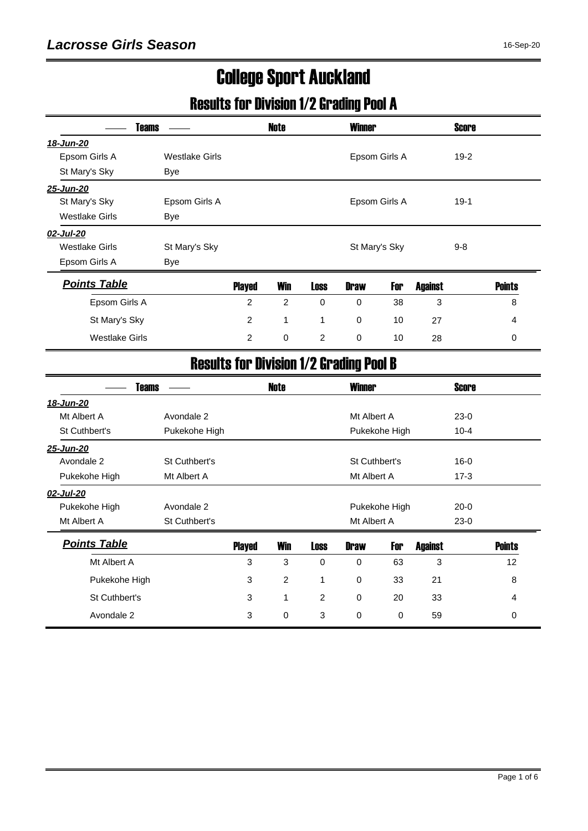# College Sport Auckland

# Results for Division 1/2 Grading Pool A

| <b>Teams</b>          |                       |                | <b>Note</b>    |             | <b>Winner</b>                                  |               |                | Score        |               |
|-----------------------|-----------------------|----------------|----------------|-------------|------------------------------------------------|---------------|----------------|--------------|---------------|
| 18-Jun-20             |                       |                |                |             |                                                |               |                |              |               |
| Epsom Girls A         | <b>Westlake Girls</b> |                |                |             |                                                | Epsom Girls A |                | $19-2$       |               |
| St Mary's Sky         | Bye                   |                |                |             |                                                |               |                |              |               |
| 25-Jun-20             |                       |                |                |             |                                                |               |                |              |               |
| St Mary's Sky         | Epsom Girls A         |                |                |             |                                                | Epsom Girls A |                | $19-1$       |               |
| <b>Westlake Girls</b> | <b>Bye</b>            |                |                |             |                                                |               |                |              |               |
| 02-Jul-20             |                       |                |                |             |                                                |               |                |              |               |
| <b>Westlake Girls</b> | St Mary's Sky         |                |                |             | St Mary's Sky                                  |               |                | $9 - 8$      |               |
| Epsom Girls A         | <b>Bye</b>            |                |                |             |                                                |               |                |              |               |
| <b>Points Table</b>   |                       | <b>Played</b>  | <b>Win</b>     | <b>Loss</b> | <b>Draw</b>                                    | For           | <b>Against</b> |              | <b>Points</b> |
| Epsom Girls A         |                       | $\overline{2}$ | 2              | 0           | 0                                              | 38            | 3              |              | 8             |
| St Mary's Sky         |                       | $\overline{c}$ | 1              | 1           | 0                                              | 10            | 27             |              | 4             |
| <b>Westlake Girls</b> |                       | $\overline{2}$ | $\mathbf 0$    | 2           | 0                                              | 10            | 28             |              | 0             |
|                       |                       |                |                |             | <b>Results for Division 1/2 Grading Pool B</b> |               |                |              |               |
| <b>Teams</b>          |                       |                | <b>Note</b>    |             | <b>Winner</b>                                  |               |                | <b>Score</b> |               |
| 18-Jun-20             |                       |                |                |             |                                                |               |                |              |               |
| Mt Albert A           | Avondale 2            |                |                |             | Mt Albert A                                    |               |                | $23-0$       |               |
| St Cuthbert's         | Pukekohe High         |                |                |             |                                                | Pukekohe High |                | $10 - 4$     |               |
| 25-Jun-20             |                       |                |                |             |                                                |               |                |              |               |
| Avondale 2            | St Cuthbert's         |                |                |             | St Cuthbert's                                  |               |                | $16 - 0$     |               |
| Pukekohe High         | Mt Albert A           |                |                |             | Mt Albert A                                    |               |                | $17 - 3$     |               |
| 02-Jul-20             |                       |                |                |             |                                                |               |                |              |               |
| Pukekohe High         | Avondale 2            |                |                |             |                                                | Pukekohe High |                | $20 - 0$     |               |
| Mt Albert A           | St Cuthbert's         |                |                |             | Mt Albert A                                    |               |                | $23-0$       |               |
| <b>Points Table</b>   |                       | <b>Played</b>  | <b>Win</b>     | <b>Loss</b> | <b>Draw</b>                                    | For           | <b>Against</b> |              | <b>Points</b> |
| Mt Albert A           |                       | 3              | 3              | $\mathbf 0$ | 0                                              | 63            | 3              |              | 12            |
| Pukekohe High         |                       | 3              | $\overline{c}$ | 1           | 0                                              | 33            | 21             |              | 8             |
| St Cuthbert's         |                       | 3              | 1              | 2           | $\Omega$                                       | 20            | 33             |              | 4             |
| Avondale 2            |                       | 3              | $\Omega$       | 3           | $\Omega$                                       | $\Omega$      | 59             |              | $\Omega$      |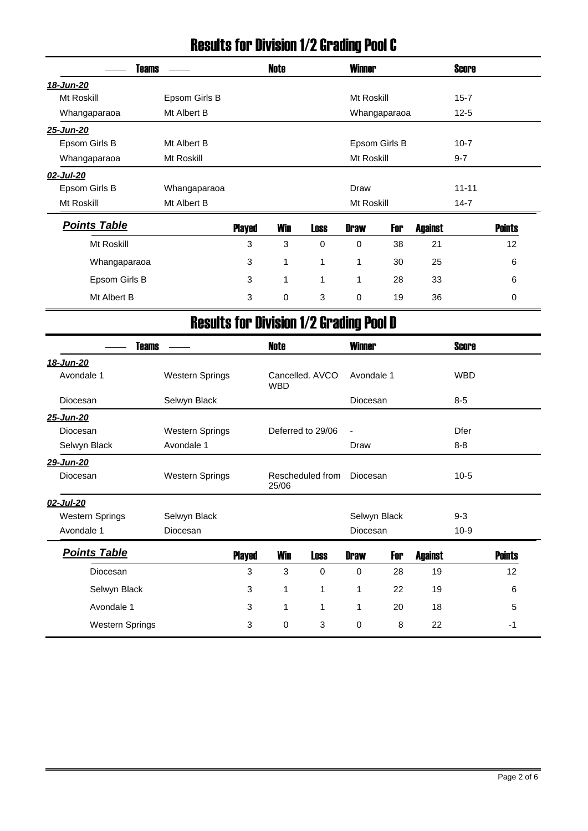# Results for Division 1/2 Grading Pool C

| Teams               |               |               | <b>Note</b> |             | <b>Winner</b> |               |                | <b>Score</b> |               |
|---------------------|---------------|---------------|-------------|-------------|---------------|---------------|----------------|--------------|---------------|
| <u>18-Jun-20</u>    |               |               |             |             |               |               |                |              |               |
| Mt Roskill          | Epsom Girls B |               |             |             | Mt Roskill    |               |                | $15 - 7$     |               |
| Whangaparaoa        | Mt Albert B   |               |             |             |               | Whangaparaoa  |                | $12 - 5$     |               |
| 25-Jun-20           |               |               |             |             |               |               |                |              |               |
| Epsom Girls B       | Mt Albert B   |               |             |             |               | Epsom Girls B |                | $10 - 7$     |               |
| Whangaparaoa        | Mt Roskill    |               |             |             | Mt Roskill    |               |                | $9 - 7$      |               |
| 02-Jul-20           |               |               |             |             |               |               |                |              |               |
| Epsom Girls B       | Whangaparaoa  |               |             |             | Draw          |               |                | $11 - 11$    |               |
| Mt Roskill          | Mt Albert B   |               |             |             | Mt Roskill    |               |                | $14 - 7$     |               |
| <b>Points Table</b> |               | <b>Played</b> | <b>Win</b>  | Loss        | <b>Draw</b>   | For           | <b>Against</b> |              | <b>Points</b> |
| Mt Roskill          |               | 3             | 3           | $\mathbf 0$ | $\mathbf 0$   | 38            | 21             |              | 12            |
| Whangaparaoa        |               | 3             | 1           | 1           | 1             | 30            | 25             |              | 6             |
| Epsom Girls B       |               | 3             | 1           | 1           | 1             | 28            | 33             |              | 6             |
| Mt Albert B         |               | 3             | 0           | 3           | 0             | 19            | 36             |              | 0             |

# Results for Division 1/2 Grading Pool D

| <b>Teams</b>           |                        |               | <b>Note</b> |                   | <b>Winner</b>   |              |                | <b>Score</b> |               |
|------------------------|------------------------|---------------|-------------|-------------------|-----------------|--------------|----------------|--------------|---------------|
| 18-Jun-20              |                        |               |             |                   |                 |              |                |              |               |
| Avondale 1             | <b>Western Springs</b> |               | <b>WBD</b>  | Cancelled, AVCO   | Avondale 1      |              |                | <b>WBD</b>   |               |
| Diocesan               | Selwyn Black           |               |             |                   | <b>Diocesan</b> |              |                | $8-5$        |               |
| 25-Jun-20              |                        |               |             |                   |                 |              |                |              |               |
| Diocesan               | <b>Western Springs</b> |               |             | Deferred to 29/06 | ٠               |              |                | <b>Dfer</b>  |               |
| Selwyn Black           | Avondale 1             |               |             |                   | Draw            |              |                | $8 - 8$      |               |
| 29-Jun-20              |                        |               |             |                   |                 |              |                |              |               |
| Diocesan               | <b>Western Springs</b> |               | 25/06       | Rescheduled from  | Diocesan        |              |                | $10-5$       |               |
| 02-Jul-20              |                        |               |             |                   |                 |              |                |              |               |
| <b>Western Springs</b> | Selwyn Black           |               |             |                   |                 | Selwyn Black |                | $9 - 3$      |               |
| Avondale 1             | Diocesan               |               |             |                   | Diocesan        |              |                | $10-9$       |               |
| <b>Points Table</b>    |                        | <b>Played</b> | <b>Win</b>  | <b>Loss</b>       | <b>Draw</b>     | For          | <b>Against</b> |              | <b>Points</b> |
| Diocesan               |                        | 3             | 3           | 0                 | $\Omega$        | 28           | 19             |              | 12            |
| Selwyn Black           |                        | 3             | 1           | 1                 | 1               | 22           | 19             |              | 6             |
| Avondale 1             |                        | 3             | 1           | 1                 | 1               | 20           | 18             |              | 5             |
| <b>Western Springs</b> |                        | 3             | $\mathbf 0$ | 3                 | $\mathbf 0$     | 8            | 22             |              | $-1$          |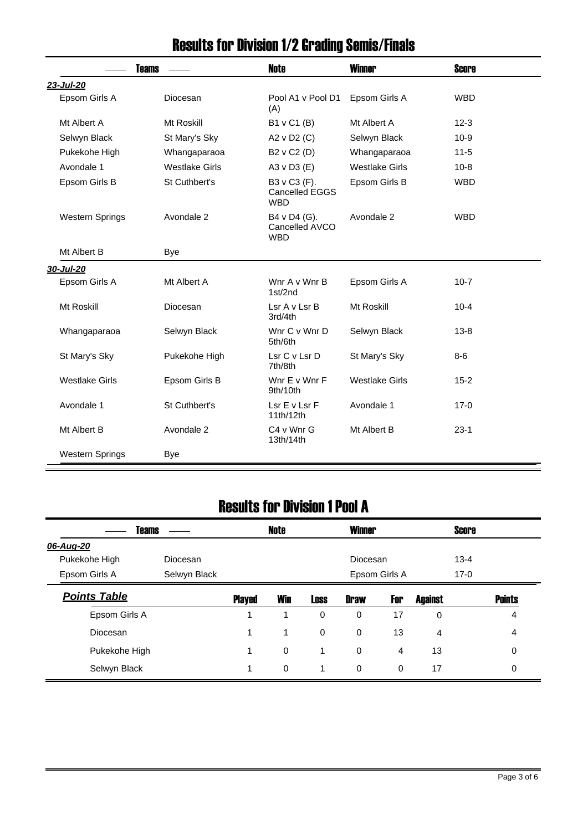| <b>Teams</b>           |                       | <b>Note</b>                                         | <b>Winner</b>         | <b>Score</b> |
|------------------------|-----------------------|-----------------------------------------------------|-----------------------|--------------|
| 23-Jul-20              |                       |                                                     |                       |              |
| Epsom Girls A          | Diocesan              | Pool A1 v Pool D1<br>(A)                            | Epsom Girls A         | <b>WBD</b>   |
| Mt Albert A            | Mt Roskill            | B1 v C1 (B)                                         | Mt Albert A           | $12 - 3$     |
| Selwyn Black           | St Mary's Sky         | A2 v D2 (C)                                         | Selwyn Black          | $10-9$       |
| Pukekohe High          | Whangaparaoa          | B2 v C2 (D)                                         | Whangaparaoa          | $11 - 5$     |
| Avondale 1             | <b>Westlake Girls</b> | A3 v D3 (E)                                         | <b>Westlake Girls</b> | $10 - 8$     |
| Epsom Girls B          | St Cuthbert's         | B3 v C3 (F).<br><b>Cancelled EGGS</b><br><b>WBD</b> | Epsom Girls B         | <b>WBD</b>   |
| <b>Western Springs</b> | Avondale 2            | B4 v D4 (G).<br>Cancelled AVCO<br><b>WBD</b>        | Avondale 2            | <b>WBD</b>   |
| Mt Albert B            | Bye                   |                                                     |                       |              |
| 30-Jul-20              |                       |                                                     |                       |              |
| Epsom Girls A          | Mt Albert A           | Wnr A v Wnr B<br>1st/2nd                            | Epsom Girls A         | $10 - 7$     |
| Mt Roskill             | Diocesan              | Lsr A v Lsr B<br>3rd/4th                            | Mt Roskill            | $10 - 4$     |
| Whangaparaoa           | Selwyn Black          | Wnr C v Wnr D<br>5th/6th                            | Selwyn Black          | $13 - 8$     |
| St Mary's Sky          | Pukekohe High         | Lsr C v Lsr D<br>7th/8th                            | St Mary's Sky         | $8-6$        |
| <b>Westlake Girls</b>  | Epsom Girls B         | Wnr E v Wnr F<br>9th/10th                           | <b>Westlake Girls</b> | $15 - 2$     |
| Avondale 1             | St Cuthbert's         | Lsr E v Lsr F<br>11th/12th                          | Avondale 1            | $17-0$       |
| Mt Albert B            | Avondale 2            | C4 v Wnr G<br>13th/14th                             | Mt Albert B           | $23-1$       |
| <b>Western Springs</b> | Bye                   |                                                     |                       |              |

# Results for Division 1/2 Grading Semis/Finals

### Results for Division 1 Pool A

| <b>Teams</b>        |              |               | <b>Note</b> |             | <b>Winner</b> |               |                | <b>Score</b> |               |
|---------------------|--------------|---------------|-------------|-------------|---------------|---------------|----------------|--------------|---------------|
| 06-Aug-20           |              |               |             |             |               |               |                |              |               |
| Pukekohe High       | Diocesan     |               |             |             | Diocesan      |               |                | $13 - 4$     |               |
| Epsom Girls A       | Selwyn Black |               |             |             |               | Epsom Girls A |                | $17-0$       |               |
| <b>Points Table</b> |              | <b>Played</b> | <b>Win</b>  | <b>Loss</b> | <b>Draw</b>   | For           | <b>Against</b> |              | <b>Points</b> |
| Epsom Girls A       |              | 1             | 1           | 0           | $\mathbf 0$   | 17            | $\mathbf 0$    |              | 4             |
| Diocesan            |              | 1             | 1           | $\mathbf 0$ | $\mathbf 0$   | 13            | 4              |              | 4             |
| Pukekohe High       |              | 1             | $\mathbf 0$ | 1           | $\mathbf 0$   | 4             | 13             |              | 0             |
| Selwyn Black        |              | 1             | $\mathbf 0$ | 1           | $\mathbf 0$   | $\mathbf 0$   | 17             |              | 0             |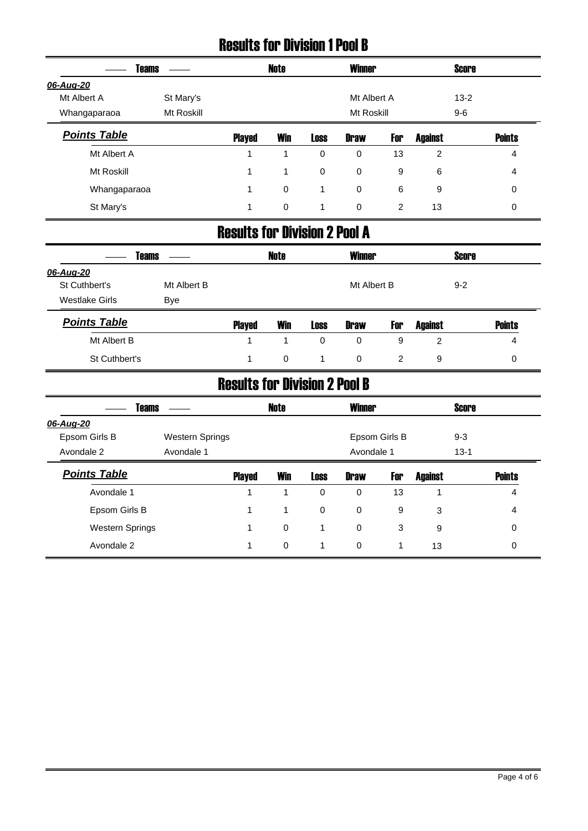#### Results for Division 1 Pool B

| <b>Teams</b>        |            |               | Note       |             | <b>Winner</b> |     |                | <b>Score</b> |               |
|---------------------|------------|---------------|------------|-------------|---------------|-----|----------------|--------------|---------------|
| 06-Aug-20           |            |               |            |             |               |     |                |              |               |
| Mt Albert A         | St Mary's  |               |            |             | Mt Albert A   |     |                | $13 - 2$     |               |
| Whangaparaoa        | Mt Roskill |               |            |             | Mt Roskill    |     |                | $9 - 6$      |               |
| <b>Points Table</b> |            | <b>Played</b> | <b>Win</b> | <b>Loss</b> | <b>Draw</b>   | For | <b>Against</b> |              | <b>Points</b> |
| Mt Albert A         |            |               |            | 0           | 0             | 13  | 2              |              | 4             |
| Mt Roskill          |            | 1             | 1          | $\mathbf 0$ | $\mathbf 0$   | 9   | 6              |              | 4             |
| Whangaparaoa        |            | 1             | 0          | 1           | $\mathbf 0$   | 6   | 9              |              | 0             |
| St Mary's           |            | 1             | 0          | 1           | 0             | 2   | 13             |              | 0             |

#### Results for Division 2 Pool A

|                     | <b>Teams</b> |               | <b>Note</b> |             | <b>Winner</b> |     |                | <b>Score</b> |               |
|---------------------|--------------|---------------|-------------|-------------|---------------|-----|----------------|--------------|---------------|
| 06-Aug-20           |              |               |             |             |               |     |                |              |               |
| St Cuthbert's       | Mt Albert B  |               |             |             | Mt Albert B   |     |                | $9 - 2$      |               |
| Westlake Girls      | Bye          |               |             |             |               |     |                |              |               |
| <b>Points Table</b> |              | <b>Played</b> | <b>Win</b>  | <b>Loss</b> | <b>Draw</b>   | For | <b>Against</b> |              | <b>Points</b> |
| Mt Albert B         |              | 1             |             | $\Omega$    | 0             | 9   | 2              |              | 4             |
| St Cuthbert's       |              |               | 0           |             | 0             | 2   | 9              |              | 0             |

### Results for Division 2 Pool B

| <b>Teams</b>           |                        |               | Note        |             | <b>Winner</b> |               |                | <b>Score</b> |               |
|------------------------|------------------------|---------------|-------------|-------------|---------------|---------------|----------------|--------------|---------------|
| 06-Aug-20              |                        |               |             |             |               |               |                |              |               |
| Epsom Girls B          | <b>Western Springs</b> |               |             |             |               | Epsom Girls B |                | $9 - 3$      |               |
| Avondale 2             | Avondale 1             |               |             |             | Avondale 1    |               |                | $13 - 1$     |               |
| <b>Points Table</b>    |                        | <b>Played</b> | <b>Win</b>  | <b>Loss</b> | <b>Draw</b>   | For           | <b>Against</b> |              | <b>Points</b> |
| Avondale 1             |                        |               | 1           | $\mathbf 0$ | 0             | 13            |                |              | 4             |
| Epsom Girls B          |                        |               | 1           | $\mathbf 0$ | $\mathbf 0$   | 9             | 3              |              | 4             |
| <b>Western Springs</b> |                        |               | $\mathbf 0$ |             | $\mathbf 0$   | 3             | 9              |              | $\mathbf 0$   |
| Avondale 2             |                        |               | $\mathbf 0$ |             | $\mathbf 0$   |               | 13             |              | 0             |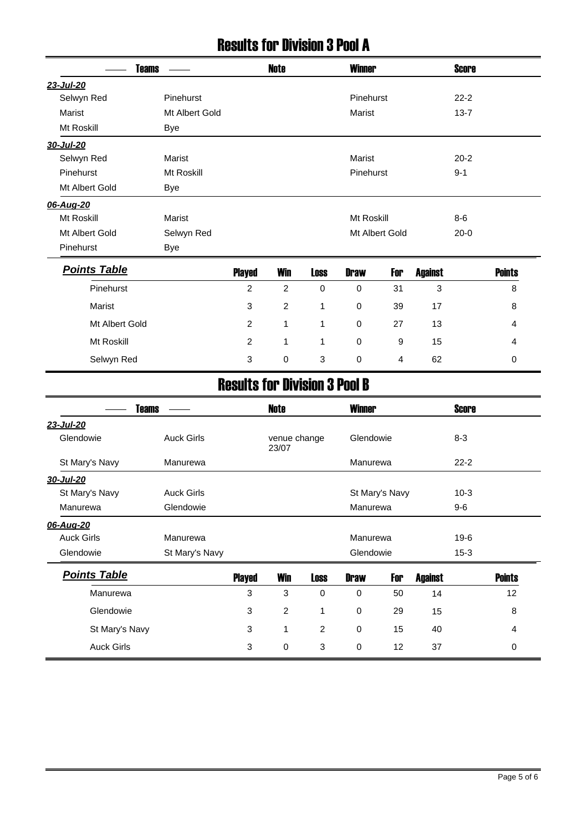#### Results for Division 3 Pool A

|                     | <b>Teams</b><br>Pinehurst<br>Mt Albert Gold<br><b>Bye</b><br><b>Marist</b><br>Mt Roskill<br><b>Bye</b><br><b>Marist</b><br>Selwyn Red<br>Bye<br>Pinehurst<br>Marist<br>Mt Albert Gold<br>Mt Roskill<br>Selwyn Red |                                      | <b>Note</b>    |             | <b>Winner</b>  |     |                | <b>Score</b> |               |
|---------------------|-------------------------------------------------------------------------------------------------------------------------------------------------------------------------------------------------------------------|--------------------------------------|----------------|-------------|----------------|-----|----------------|--------------|---------------|
| 23-Jul-20           |                                                                                                                                                                                                                   |                                      |                |             |                |     |                |              |               |
| Selwyn Red          |                                                                                                                                                                                                                   |                                      |                |             | Pinehurst      |     |                | $22 - 2$     |               |
| <b>Marist</b>       |                                                                                                                                                                                                                   |                                      |                |             | <b>Marist</b>  |     |                | $13 - 7$     |               |
| Mt Roskill          |                                                                                                                                                                                                                   |                                      |                |             |                |     |                |              |               |
| 30-Jul-20           |                                                                                                                                                                                                                   |                                      |                |             |                |     |                |              |               |
| Selwyn Red          |                                                                                                                                                                                                                   |                                      |                |             | Marist         |     |                | $20 - 2$     |               |
| Pinehurst           |                                                                                                                                                                                                                   |                                      |                |             | Pinehurst      |     |                | $9 - 1$      |               |
| Mt Albert Gold      |                                                                                                                                                                                                                   |                                      |                |             |                |     |                |              |               |
| 06-Aug-20           |                                                                                                                                                                                                                   |                                      |                |             |                |     |                |              |               |
| Mt Roskill          |                                                                                                                                                                                                                   |                                      |                |             | Mt Roskill     |     |                | $8-6$        |               |
| Mt Albert Gold      |                                                                                                                                                                                                                   |                                      |                |             | Mt Albert Gold |     |                | $20 - 0$     |               |
| Pinehurst           |                                                                                                                                                                                                                   |                                      |                |             |                |     |                |              |               |
| <b>Points Table</b> |                                                                                                                                                                                                                   | <b>Played</b>                        | <b>Win</b>     | <b>Loss</b> | <b>Draw</b>    | For | <b>Against</b> |              | <b>Points</b> |
|                     |                                                                                                                                                                                                                   | $\overline{c}$                       | $\overline{c}$ | $\mathbf 0$ | $\mathbf 0$    | 31  | 3              |              | 8             |
|                     |                                                                                                                                                                                                                   | 3                                    | $\overline{c}$ | 1           | $\mathbf 0$    | 39  | 17             |              | 8             |
|                     |                                                                                                                                                                                                                   | $\overline{c}$                       | $\mathbf{1}$   | 1           | $\mathbf 0$    | 27  | 13             |              | 4             |
|                     |                                                                                                                                                                                                                   | $\overline{c}$                       | 1              | 1           | $\mathbf 0$    | 9   | 15             |              | 4             |
|                     |                                                                                                                                                                                                                   | 3                                    | $\mathbf 0$    | 3           | $\mathbf 0$    | 4   | 62             |              | 0             |
|                     |                                                                                                                                                                                                                   | <b>Results for Division 3 Pool B</b> |                |             |                |     |                |              |               |
| <b>Teams</b>        |                                                                                                                                                                                                                   |                                      | <b>Note</b>    |             | <b>Winner</b>  |     |                | <b>Score</b> |               |

| <b>Teams</b>        |                   |               | <b>Note</b>           |                | <b>Winner</b> |                |                | <b>Score</b> |               |
|---------------------|-------------------|---------------|-----------------------|----------------|---------------|----------------|----------------|--------------|---------------|
| 23-Jul-20           |                   |               |                       |                |               |                |                |              |               |
| Glendowie           | <b>Auck Girls</b> |               | venue change<br>23/07 |                | Glendowie     |                |                | $8 - 3$      |               |
| St Mary's Navy      | Manurewa          |               |                       |                | Manurewa      |                |                | $22 - 2$     |               |
| 30-Jul-20           |                   |               |                       |                |               |                |                |              |               |
| St Mary's Navy      | <b>Auck Girls</b> |               |                       |                |               | St Mary's Navy |                | $10-3$       |               |
| Manurewa            | Glendowie         |               |                       |                | Manurewa      |                |                | $9-6$        |               |
| 06-Aug-20           |                   |               |                       |                |               |                |                |              |               |
| <b>Auck Girls</b>   | Manurewa          |               |                       |                | Manurewa      |                |                | $19-6$       |               |
| Glendowie           | St Mary's Navy    |               |                       |                | Glendowie     |                |                | $15 - 3$     |               |
| <b>Points Table</b> |                   | <b>Played</b> | Win                   | <b>Loss</b>    | <b>Draw</b>   | For            | <b>Against</b> |              | <b>Points</b> |
| Manurewa            |                   | 3             | 3                     | 0              | 0             | 50             | 14             |              | 12            |
| Glendowie           |                   | 3             | 2                     | 1              | 0             | 29             | 15             |              | 8             |
| St Mary's Navy      |                   | 3             | 1                     | $\overline{2}$ | 0             | 15             | 40             |              | 4             |
| <b>Auck Girls</b>   |                   | 3             | 0                     | 3              | 0             | 12             | 37             |              | 0             |
|                     |                   |               |                       |                |               |                |                |              |               |